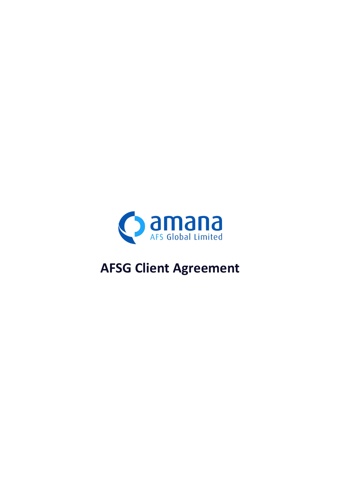

# **AFSG Client Agreement**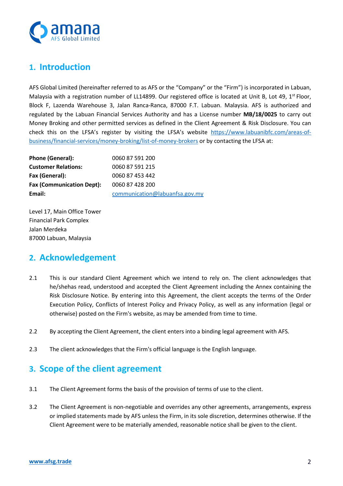

## **1. Introduction**

AFS Global Limited (hereinafter referred to as AFS or the "Company" or the "Firm") is incorporated in Labuan, Malaysia with a registration number of LL14899. Our registered office is located at Unit B, Lot 49,  $1^{st}$  Floor, Block F, Lazenda Warehouse 3, Jalan Ranca-Ranca, 87000 F.T. Labuan. Malaysia. AFS is authorized and regulated by the Labuan Financial Services Authority and has a License number **MB/18/0025** to carry out Money Broking and other permitted services as defined in the Client Agreement & Risk Disclosure. You can check this on the LFSA's register by visiting the LFSA's website [https://www.labuanibfc.com/areas-of](https://www.labuanibfc.com/areas-of-business/financial-services/money-broking/list-of-money-brokers)[business/financial-services/money-broking/list-of-money-brokers](https://www.labuanibfc.com/areas-of-business/financial-services/money-broking/list-of-money-brokers) or by contacting the LFSA at:

| Phone (General):                 | 0060 87 591 200                |
|----------------------------------|--------------------------------|
| <b>Customer Relations:</b>       | 0060 87 591 215                |
| Fax (General):                   | 0060 87 453 442                |
| <b>Fax (Communication Dept):</b> | 0060 87 428 200                |
| Email:                           | communication@labuanfsa.gov.my |

Level 17, Main Office Tower Financial Park Complex Jalan Merdeka 87000 Labuan, Malaysia

# **2. Acknowledgement**

- 2.1 This is our standard Client Agreement which we intend to rely on. The client acknowledges that he/shehas read, understood and accepted the Client Agreement including the Annex containing the Risk Disclosure Notice. By entering into this Agreement, the client accepts the terms of the Order Execution Policy, Conflicts of Interest Policy and Privacy Policy, as well as any information (legal or otherwise) posted on the Firm's website, as may be amended from time to time.
- 2.2 By accepting the Client Agreement, the client enters into a binding legal agreement with AFS.
- 2.3 The client acknowledges that the Firm's official language is the English language.

### **3. Scope of the client agreement**

- 3.1 The Client Agreement forms the basis of the provision of terms of use to the client.
- 3.2 The Client Agreement is non-negotiable and overrides any other agreements, arrangements, express or implied statements made by AFS unless the Firm, in its sole discretion, determines otherwise. If the Client Agreement were to be materially amended, reasonable notice shall be given to the client.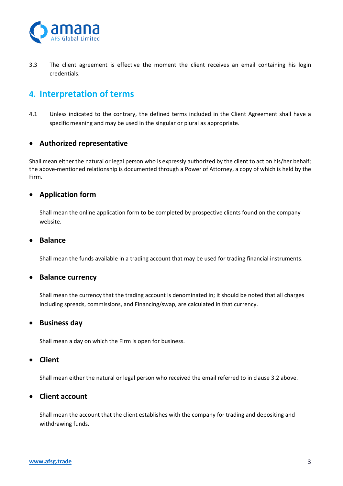

3.3 The client agreement is effective the moment the client receives an email containing his login credentials.

### **4. Interpretation of terms**

4.1 Unless indicated to the contrary, the defined terms included in the Client Agreement shall have a specific meaning and may be used in the singular or plural as appropriate.

#### • **Authorized representative**

Shall mean either the natural or legal person who is expressly authorized by the client to act on his/her behalf; the above-mentioned relationship is documented through a Power of Attorney, a copy of which is held by the Firm.

#### • **Application form**

Shall mean the online application form to be completed by prospective clients found on the company website.

#### • **Balance**

Shall mean the funds available in a trading account that may be used for trading financial instruments.

#### • **Balance currency**

Shall mean the currency that the trading account is denominated in; it should be noted that all charges including spreads, commissions, and Financing/swap, are calculated in that currency.

#### • **Business day**

Shall mean a day on which the Firm is open for business.

#### • **Client**

Shall mean either the natural or legal person who received the email referred to in clause 3.2 above.

#### • **Client account**

Shall mean the account that the client establishes with the company for trading and depositing and withdrawing funds.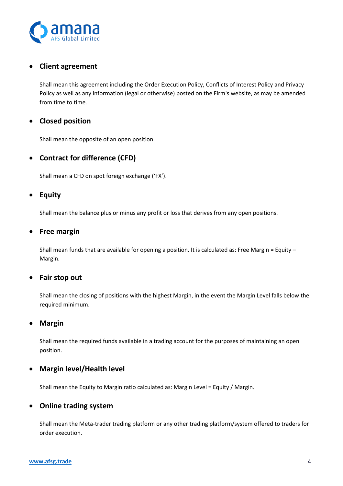

### • **Client agreement**

Shall mean this agreement including the Order Execution Policy, Conflicts of Interest Policy and Privacy Policy as well as any information (legal or otherwise) posted on the Firm's website, as may be amended from time to time.

### • **Closed position**

Shall mean the opposite of an open position.

#### • **Contract for difference (CFD)**

Shall mean a CFD on spot foreign exchange ('FX').

#### • **Equity**

Shall mean the balance plus or minus any profit or loss that derives from any open positions.

#### • **Free margin**

Shall mean funds that are available for opening a position. It is calculated as: Free Margin = Equity – Margin.

#### • **Fair stop out**

Shall mean the closing of positions with the highest Margin, in the event the Margin Level falls below the required minimum.

#### • **Margin**

Shall mean the required funds available in a trading account for the purposes of maintaining an open position.

#### • **Margin level/Health level**

Shall mean the Equity to Margin ratio calculated as: Margin Level = Equity / Margin.

#### • **Online trading system**

Shall mean the Meta-trader trading platform or any other trading platform/system offered to traders for order execution.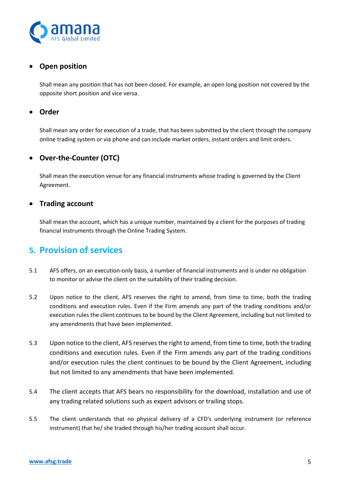

### • **Open position**

Shall mean any position that has not been closed. For example, an open long position not covered by the opposite short position and vice versa.

#### • **Order**

Shall mean any order for execution of a trade, that has been submitted by the client through the company online trading system or via phone and can include market orders, instant orders and limit orders.

#### • **Over-the-Counter (OTC)**

Shall mean the execution venue for any financial instruments whose trading is governed by the Client Agreement.

#### • **Trading account**

Shall mean the account, which has a unique number, maintained by a client for the purposes of trading financial instruments through the Online Trading System.

### **5. Provision of services**

- 5.1 AFS offers, on an execution-only basis, a number of financial instruments and is under no obligation to monitor or advise the client on the suitability of their trading decision.
- 5.2 Upon notice to the client, AFS reserves the right to amend, from time to time, both the trading conditions and execution rules. Even if the Firm amends any part of the trading conditions and/or execution rules the client continues to be bound by the Client Agreement, including but not limited to any amendments that have been implemented.
- 5.3 Upon notice to the client, AFS reserves the right to amend, from time to time, both the trading conditions and execution rules. Even if the Firm amends any part of the trading conditions and/or execution rules the client continues to be bound by the Client Agreement, including but not limited to any amendments that have been implemented.
- 5.4 The client accepts that AFS bears no responsibility for the download, installation and use of any trading related solutions such as expert advisors or trailing stops.
- 5.5 The client understands that no physical delivery of a CFD's underlying instrument (or reference instrument) that he/ she traded through his/her trading account shall occur.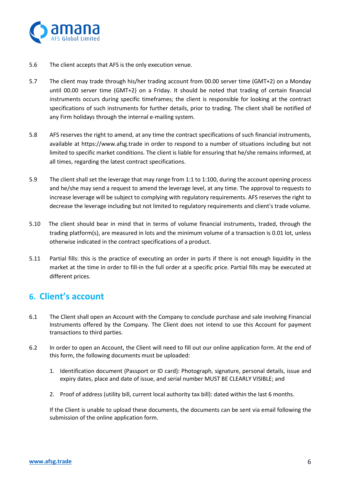

- 5.6 The client accepts that AFS is the only execution venue.
- 5.7 The client may trade through his/her trading account from 00.00 server time (GMT+2) on a Monday until 00.00 server time (GMT+2) on a Friday. It should be noted that trading of certain financial instruments occurs during specific timeframes; the client is responsible for looking at the contract specifications of such instruments for further details, prior to trading. The client shall be notified of any Firm holidays through the internal e-mailing system.
- 5.8 AFS reserves the right to amend, at any time the contract specifications of such financial instruments, available at https://www.afsg.trade in order to respond to a number of situations including but not limited to specific market conditions. The client is liable for ensuring that he/she remains informed, at all times, regarding the latest contract specifications.
- 5.9 The client shall set the leverage that may range from 1:1 to 1:100, during the account opening process and he/she may send a request to amend the leverage level, at any time. The approval to requests to increase leverage will be subject to complying with regulatory requirements. AFS reserves the right to decrease the leverage including but not limited to regulatory requirements and client's trade volume.
- 5.10 The client should bear in mind that in terms of volume financial instruments, traded, through the trading platform(s), are measured in lots and the minimum volume of a transaction is 0.01 lot, unless otherwise indicated in the contract specifications of a product.
- 5.11 Partial fills: this is the practice of executing an order in parts if there is not enough liquidity in the market at the time in order to fill-in the full order at a specific price. Partial fills may be executed at different prices.

# **6. Client's account**

- 6.1 The Client shall open an Account with the Company to conclude purchase and sale involving Financial Instruments offered by the Company. The Client does not intend to use this Account for payment transactions to third parties.
- 6.2 In order to open an Account, the Client will need to fill out our online application form. At the end of this form, the following documents must be uploaded:
	- 1. Identification document (Passport or ID card): Photograph, signature, personal details, issue and expiry dates, place and date of issue, and serial number MUST BE CLEARLY VISIBLE; and
	- 2. Proof of address (utility bill, current local authority tax bill): dated within the last 6 months.

If the Client is unable to upload these documents, the documents can be sent via email following the submission of the online application form.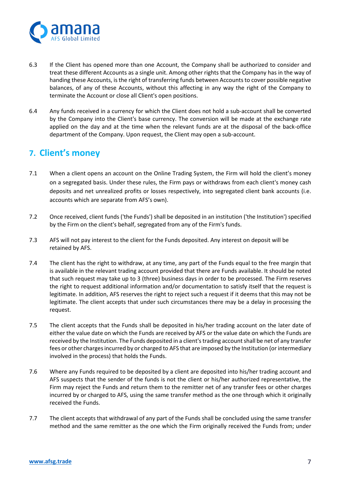

- 6.3 If the Client has opened more than one Account, the Company shall be authorized to consider and treat these different Accounts as a single unit. Among other rights that the Company has in the way of handing these Accounts, is the right of transferring funds between Accounts to cover possible negative balances, of any of these Accounts, without this affecting in any way the right of the Company to terminate the Account or close all Client's open positions.
- 6.4 Any funds received in a currency for which the Client does not hold a sub-account shall be converted by the Company into the Client's base currency. The conversion will be made at the exchange rate applied on the day and at the time when the relevant funds are at the disposal of the back-office department of the Company. Upon request, the Client may open a sub-account.

### **7. Client's money**

- 7.1 When a client opens an account on the Online Trading System, the Firm will hold the client's money on a segregated basis. Under these rules, the Firm pays or withdraws from each client's money cash deposits and net unrealized profits or losses respectively, into segregated client bank accounts (i.e. accounts which are separate from AFS's own).
- 7.2 Once received, client funds ('the Funds') shall be deposited in an institution ('the Institution') specified by the Firm on the client's behalf, segregated from any of the Firm's funds.
- 7.3 AFS will not pay interest to the client for the Funds deposited. Any interest on deposit will be retained by AFS.
- 7.4 The client has the right to withdraw, at any time, any part of the Funds equal to the free margin that is available in the relevant trading account provided that there are Funds available. It should be noted that such request may take up to 3 (three) business days in order to be processed. The Firm reserves the right to request additional information and/or documentation to satisfy itself that the request is legitimate. In addition, AFS reserves the right to reject such a request if it deems that this may not be legitimate. The client accepts that under such circumstances there may be a delay in processing the request.
- 7.5 The client accepts that the Funds shall be deposited in his/her trading account on the later date of either the value date on which the Funds are received by AFS or the value date on which the Funds are received by the Institution. The Funds deposited in a client's trading account shall be net of any transfer fees or other charges incurred by or charged to AFS that are imposed by the Institution (or intermediary involved in the process) that holds the Funds.
- 7.6 Where any Funds required to be deposited by a client are deposited into his/her trading account and AFS suspects that the sender of the funds is not the client or his/her authorized representative, the Firm may reject the Funds and return them to the remitter net of any transfer fees or other charges incurred by or charged to AFS, using the same transfer method as the one through which it originally received the Funds.
- 7.7 The client accepts that withdrawal of any part of the Funds shall be concluded using the same transfer method and the same remitter as the one which the Firm originally received the Funds from; under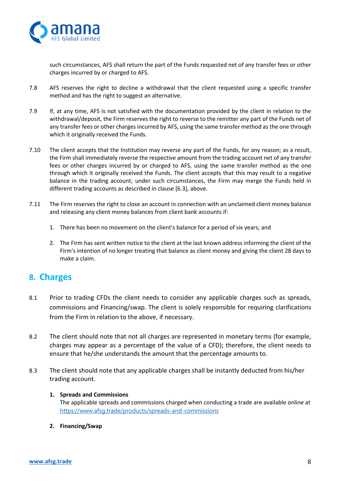

such circumstances, AFS shall return the part of the Funds requested net of any transfer fees or other charges incurred by or charged to AFS.

- 7.8 AFS reserves the right to decline a withdrawal that the client requested using a specific transfer method and has the right to suggest an alternative.
- 7.9 If, at any time, AFS is not satisfied with the documentation provided by the client in relation to the withdrawal/deposit, the Firm reserves the right to reverse to the remitter any part of the Funds net of any transfer fees or other charges incurred by AFS, using the same transfer method as the one through which it originally received the Funds.
- 7.10 The client accepts that the Institution may reverse any part of the Funds, for any reason; as a result, the Firm shall immediately reverse the respective amount from the trading account net of any transfer fees or other charges incurred by or charged to AFS, using the same transfer method as the one through which it originally received the Funds. The client accepts that this may result to a negative balance in the trading account; under such circumstances, the Firm may merge the Funds held in different trading accounts as described in clause [6.3], above.
- 7.11 The Firm reserves the right to close an account in connection with an unclaimed client money balance and releasing any client money balances from client bank accounts if:
	- 1. There has been no movement on the client's balance for a period of six years; and
	- 2. The Firm has sent written notice to the client at the last known address informing the client of the Firm's intention of no longer treating that balance as client money and giving the client 28 days to make a claim.

### **8. Charges**

- 8.1 Prior to trading CFDs the client needs to consider any applicable charges such as spreads, commissions and Financing/swap. The client is solely responsible for requiring clarifications from the Firm in relation to the above, if necessary.
- 8.2 The client should note that not all charges are represented in monetary terms (for example, charges may appear as a percentage of the value of a CFD); therefore, the client needs to ensure that he/she understands the amount that the percentage amounts to.
- 8.3 The client should note that any applicable charges shall be instantly deducted from his/her trading account.
	- **1. Spreads and Commissions** The applicable spreads and commissions charged when conducting a trade are available online at <https://www.afsg.trade/products/spreads-and-commissions>
	- **2. Financing/Swap**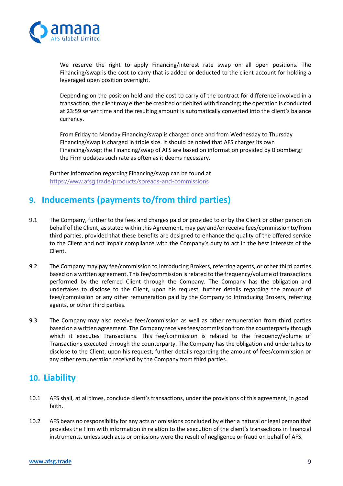

We reserve the right to apply Financing/interest rate swap on all open positions. The Financing/swap is the cost to carry that is added or deducted to the client account for holding a leveraged open position overnight.

Depending on the position held and the cost to carry of the contract for difference involved in a transaction, the client may either be credited or debited with financing; the operation is conducted at 23:59 server time and the resulting amount is automatically converted into the client's balance currency.

From Friday to Monday Financing/swap is charged once and from Wednesday to Thursday Financing/swap is charged in triple size. It should be noted that AFS charges its own Financing/swap; the Financing/swap of AFS are based on information provided by Bloomberg; the Firm updates such rate as often as it deems necessary.

Further information regarding Financing/swap can be found at <https://www.afsg.trade/products/spreads-and-commissions>

# **9. Inducements (payments to/from third parties)**

- 9.1 The Company, further to the fees and charges paid or provided to or by the Client or other person on behalf of the Client, as stated within this Agreement, may pay and/or receive fees/commission to/from third parties, provided that these benefits are designed to enhance the quality of the offered service to the Client and not impair compliance with the Company's duty to act in the best interests of the Client.
- 9.2 The Company may pay fee/commission to Introducing Brokers, referring agents, or other third parties based on a written agreement. This fee/commission is related to the frequency/volume of transactions performed by the referred Client through the Company. The Company has the obligation and undertakes to disclose to the Client, upon his request, further details regarding the amount of fees/commission or any other remuneration paid by the Company to Introducing Brokers, referring agents, or other third parties.
- 9.3 The Company may also receive fees/commission as well as other remuneration from third parties based on a written agreement. The Company receives fees/commission from the counterparty through which it executes Transactions. This fee/commission is related to the frequency/volume of Transactions executed through the counterparty. The Company has the obligation and undertakes to disclose to the Client, upon his request, further details regarding the amount of fees/commission or any other remuneration received by the Company from third parties.

# **10. Liability**

- 10.1 AFS shall, at all times, conclude client's transactions, under the provisions of this agreement, in good faith.
- 10.2 AFS bears no responsibility for any acts or omissions concluded by either a natural or legal person that provides the Firm with information in relation to the execution of the client's transactions in financial instruments, unless such acts or omissions were the result of negligence or fraud on behalf of AFS.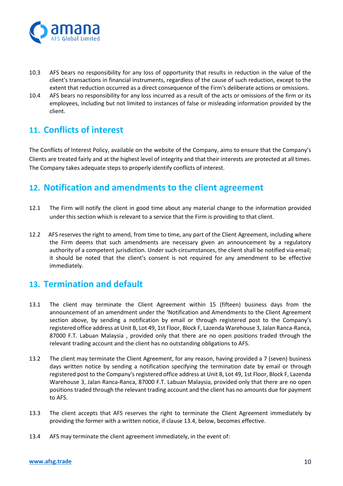

- 10.3 AFS bears no responsibility for any loss of opportunity that results in reduction in the value of the client's transactions in financial instruments, regardless of the cause of such reduction, except to the extent that reduction occurred as a direct consequence of the Firm's deliberate actions or omissions.
- 10.4 AFS bears no responsibility for any loss incurred as a result of the acts or omissions of the firm or its employees, including but not limited to instances of false or misleading information provided by the client.

# **11. Conflicts of interest**

The Conflicts of Interest Policy, available on the website of the Company, aims to ensure that the Company's Clients are treated fairly and at the highest level of integrity and that their interests are protected at all times. The Company takes adequate steps to properly identify conflicts of interest.

# **12. Notification and amendments to the client agreement**

- 12.1 The Firm will notify the client in good time about any material change to the information provided under this section which is relevant to a service that the Firm is providing to that client.
- 12.2 AFS reserves the right to amend, from time to time, any part of the Client Agreement, including where the Firm deems that such amendments are necessary given an announcement by a regulatory authority of a competent jurisdiction. Under such circumstances, the client shall be notified via email; it should be noted that the client's consent is not required for any amendment to be effective immediately.

# **13. Termination and default**

- 13.1 The client may terminate the Client Agreement within 15 (fifteen) business days from the announcement of an amendment under the 'Notification and Amendments to the Client Agreement section above, by sending a notification by email or through registered post to the Company's registered office address at Unit B, Lot 49, 1st Floor, Block F, Lazenda Warehouse 3, Jalan Ranca-Ranca, 87000 F.T. Labuan Malaysia , provided only that there are no open positions traded through the relevant trading account and the client has no outstanding obligations to AFS.
- 13.2 The client may terminate the Client Agreement, for any reason, having provided a 7 (seven) business days written notice by sending a notification specifying the termination date by email or through registered post to the Company's registered office address at Unit B, Lot 49, 1st Floor, Block F, Lazenda Warehouse 3, Jalan Ranca-Ranca, 87000 F.T. Labuan Malaysia, provided only that there are no open positions traded through the relevant trading account and the client has no amounts due for payment to AFS.
- 13.3 The client accepts that AFS reserves the right to terminate the Client Agreement immediately by providing the former with a written notice, if clause 13.4, below, becomes effective.
- 13.4 AFS may terminate the client agreement immediately, in the event of: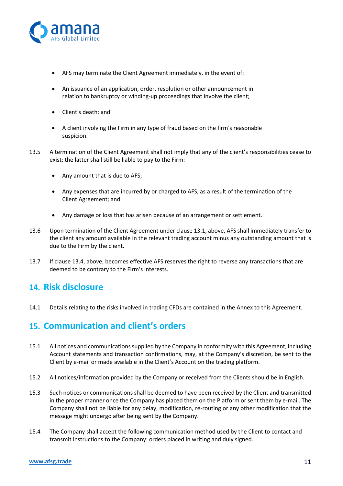

- AFS may terminate the Client Agreement immediately, in the event of:
- An issuance of an application, order, resolution or other announcement in relation to bankruptcy or winding-up proceedings that involve the client;
- Client's death; and
- A client involving the Firm in any type of fraud based on the firm's reasonable suspicion.
- 13.5 A termination of the Client Agreement shall not imply that any of the client's responsibilities cease to exist; the latter shall still be liable to pay to the Firm:
	- Any amount that is due to AFS;
	- Any expenses that are incurred by or charged to AFS, as a result of the termination of the Client Agreement; and
	- Any damage or loss that has arisen because of an arrangement or settlement.
- 13.6 Upon termination of the Client Agreement under clause 13.1, above, AFS shall immediately transfer to the client any amount available in the relevant trading account minus any outstanding amount that is due to the Firm by the client.
- 13.7 If clause 13.4, above, becomes effective AFS reserves the right to reverse any transactions that are deemed to be contrary to the Firm's interests.

### **14. Risk disclosure**

14.1 Details relating to the risks involved in trading CFDs are contained in the Annex to this Agreement.

### **15. Communication and client's orders**

- 15.1 All notices and communications supplied by the Company in conformity with this Agreement, including Account statements and transaction confirmations, may, at the Company's discretion, be sent to the Client by e-mail or made available in the Client's Account on the trading platform.
- 15.2 All notices/information provided by the Company or received from the Clients should be in English.
- 15.3 Such notices or communications shall be deemed to have been received by the Client and transmitted in the proper manner once the Company has placed them on the Platform or sent them by e-mail. The Company shall not be liable for any delay, modification, re-routing or any other modification that the message might undergo after being sent by the Company.
- 15.4 The Company shall accept the following communication method used by the Client to contact and transmit instructions to the Company: orders placed in writing and duly signed.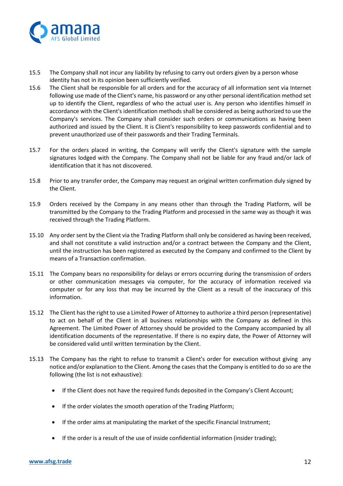

- 15.5 The Company shall not incur any liability by refusing to carry out orders given by a person whose identity has not in its opinion been sufficiently verified.
- 15.6 The Client shall be responsible for all orders and for the accuracy of all information sent via Internet following use made of the Client's name, his password or any other personal identification method set up to identify the Client, regardless of who the actual user is. Any person who identifies himself in accordance with the Client's identification methods shall be considered as being authorized to use the Company's services. The Company shall consider such orders or communications as having been authorized and issued by the Client. It is Client's responsibility to keep passwords confidential and to prevent unauthorized use of their passwords and their Trading Terminals.
- 15.7 For the orders placed in writing, the Company will verify the Client's signature with the sample signatures lodged with the Company. The Company shall not be liable for any fraud and/or lack of identification that it has not discovered.
- 15.8 Prior to any transfer order, the Company may request an original written confirmation duly signed by the Client.
- 15.9 Orders received by the Company in any means other than through the Trading Platform, will be transmitted by the Company to the Trading Platform and processed in the same way as though it was received through the Trading Platform.
- 15.10 Any order sent by the Client via the Trading Platform shall only be considered as having been received, and shall not constitute a valid instruction and/or a contract between the Company and the Client, until the instruction has been registered as executed by the Company and confirmed to the Client by means of a Transaction confirmation.
- 15.11 The Company bears no responsibility for delays or errors occurring during the transmission of orders or other communication messages via computer, for the accuracy of information received via computer or for any loss that may be incurred by the Client as a result of the inaccuracy of this information.
- 15.12 The Client has the right to use a Limited Power of Attorney to authorize a third person (representative) to act on behalf of the Client in all business relationships with the Company as defined in this Agreement. The Limited Power of Attorney should be provided to the Company accompanied by all identification documents of the representative. If there is no expiry date, the Power of Attorney will be considered valid until written termination by the Client.
- 15.13 The Company has the right to refuse to transmit a Client's order for execution without giving any notice and/or explanation to the Client. Among the cases that the Company is entitled to do so are the following (the list is not exhaustive):
	- If the Client does not have the required funds deposited in the Company's Client Account;
	- If the order violates the smooth operation of the Trading Platform;
	- If the order aims at manipulating the market of the specific Financial Instrument;
	- If the order is a result of the use of inside confidential information (insider trading);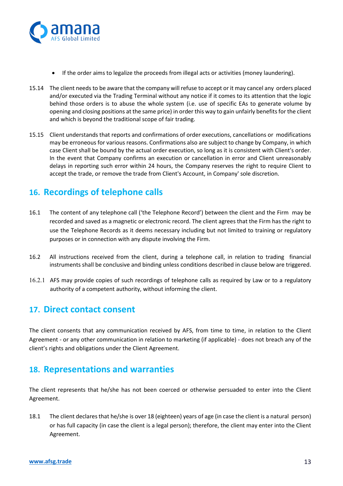

- If the order aims to legalize the proceeds from illegal acts or activities (money laundering).
- 15.14 The client needs to be aware that the company will refuse to accept or it may cancel any orders placed and/or executed via the Trading Terminal without any notice if it comes to its attention that the logic behind those orders is to abuse the whole system (i.e. use of specific EAs to generate volume by opening and closing positions at the same price) in order this way to gain unfairly benefits for the client and which is beyond the traditional scope of fair trading.
- 15.15 Client understands that reports and confirmations of order executions, cancellations or modifications may be erroneous for various reasons. Confirmations also are subject to change by Company, in which case Client shall be bound by the actual order execution, so long as it is consistent with Client's order. In the event that Company confirms an execution or cancellation in error and Client unreasonably delays in reporting such error within 24 hours, the Company reserves the right to require Client to accept the trade, or remove the trade from Client's Account, in Company' sole discretion.

# **16. Recordings of telephone calls**

- 16.1 The content of any telephone call ('the Telephone Record') between the client and the Firm may be recorded and saved as a magnetic or electronic record. The client agrees that the Firm has the right to use the Telephone Records as it deems necessary including but not limited to training or regulatory purposes or in connection with any dispute involving the Firm.
- 16.2 All instructions received from the client, during a telephone call, in relation to trading financial instruments shall be conclusive and binding unless conditions described in clause below are triggered.
- 16.2.1 AFS may provide copies of such recordings of telephone calls as required by Law or to a regulatory authority of a competent authority, without informing the client.

### **17. Direct contact consent**

The client consents that any communication received by AFS, from time to time, in relation to the Client Agreement - or any other communication in relation to marketing (if applicable) - does not breach any of the client's rights and obligations under the Client Agreement.

### **18. Representations and warranties**

The client represents that he/she has not been coerced or otherwise persuaded to enter into the Client Agreement.

18.1 The client declares that he/she is over 18 (eighteen) years of age (in case the client is a natural person) or has full capacity (in case the client is a legal person); therefore, the client may enter into the Client Agreement.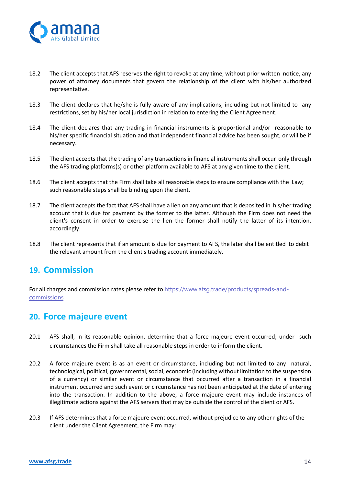

- 18.2 The client accepts that AFS reserves the right to revoke at any time, without prior written notice, any power of attorney documents that govern the relationship of the client with his/her authorized representative.
- 18.3 The client declares that he/she is fully aware of any implications, including but not limited to any restrictions, set by his/her local jurisdiction in relation to entering the Client Agreement.
- 18.4 The client declares that any trading in financial instruments is proportional and/or reasonable to his/her specific financial situation and that independent financial advice has been sought, or will be if necessary.
- 18.5 The client accepts that the trading of any transactions in financial instruments shall occur only through the AFS trading platforms(s) or other platform available to AFS at any given time to the client.
- 18.6 The client accepts that the Firm shall take all reasonable steps to ensure compliance with the Law; such reasonable steps shall be binding upon the client.
- 18.7 The client accepts the fact that AFS shall have a lien on any amount that is deposited in his/her trading account that is due for payment by the former to the latter. Although the Firm does not need the client's consent in order to exercise the lien the former shall notify the latter of its intention, accordingly.
- 18.8 The client represents that if an amount is due for payment to AFS, the later shall be entitled to debit the relevant amount from the client's trading account immediately.

### **19. Commission**

For all charges and commission rates please refer to [https://www.afsg.trade/products/spreads-and](https://www.afsg.trade/products/spreads-and-commissions)**[commissions](https://www.afsg.trade/products/spreads-and-commissions)** 

### **20. Force majeure event**

- 20.1 AFS shall, in its reasonable opinion, determine that a force majeure event occurred; under such circumstances the Firm shall take all reasonable steps in order to inform the client.
- 20.2 A force majeure event is as an event or circumstance, including but not limited to any natural, technological, political, governmental, social, economic (including without limitation to the suspension of a currency) or similar event or circumstance that occurred after a transaction in a financial instrument occurred and such event or circumstance has not been anticipated at the date of entering into the transaction. In addition to the above, a force majeure event may include instances of illegitimate actions against the AFS servers that may be outside the control of the client or AFS.
- 20.3 If AFS determines that a force majeure event occurred, without prejudice to any other rights of the client under the Client Agreement, the Firm may: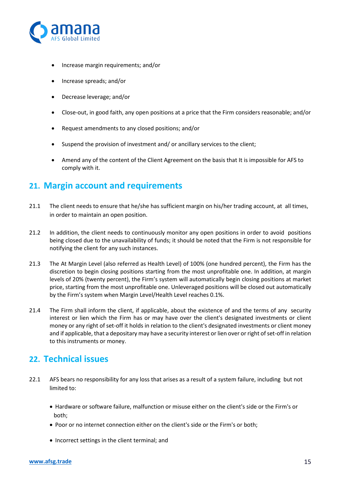

- Increase margin requirements; and/or
- Increase spreads; and/or
- Decrease leverage; and/or
- Close-out, in good faith, any open positions at a price that the Firm considers reasonable; and/or
- Request amendments to any closed positions; and/or
- Suspend the provision of investment and/ or ancillary services to the client;
- Amend any of the content of the Client Agreement on the basis that It is impossible for AFS to comply with it.

### **21. Margin account and requirements**

- 21.1 The client needs to ensure that he/she has sufficient margin on his/her trading account, at all times, in order to maintain an open position.
- 21.2 In addition, the client needs to continuously monitor any open positions in order to avoid positions being closed due to the unavailability of funds; it should be noted that the Firm is not responsible for notifying the client for any such instances.
- 21.3 The At Margin Level (also referred as Health Level) of 100% (one hundred percent), the Firm has the discretion to begin closing positions starting from the most unprofitable one. In addition, at margin levels of 20% (twenty percent), the Firm's system will automatically begin closing positions at market price, starting from the most unprofitable one. Unleveraged positions will be closed out automatically by the Firm's system when Margin Level/Health Level reaches 0.1%.
- 21.4 The Firm shall inform the client, if applicable, about the existence of and the terms of any security interest or lien which the Firm has or may have over the client's designated investments or client money or any right of set-off it holds in relation to the client's designated investments or client money and if applicable, that a depositary may have a security interest or lien over or right of set-off in relation to this instruments or money.

# **22. Technical issues**

- 22.1 AFS bears no responsibility for any loss that arises as a result of a system failure, including but not limited to:
	- Hardware or software failure, malfunction or misuse either on the client's side or the Firm's or both;
	- Poor or no internet connection either on the client's side or the Firm's or both;
	- Incorrect settings in the client terminal; and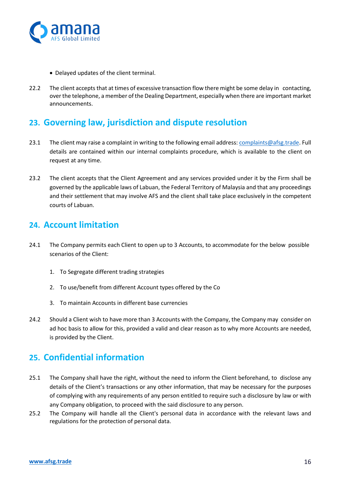

- Delayed updates of the client terminal.
- 22.2 The client accepts that at times of excessive transaction flow there might be some delay in contacting, over the telephone, a member of the Dealing Department, especially when there are important market announcements.

## **23. Governing law, jurisdiction and dispute resolution**

- 23.1 The client may raise a complaint in writing to the following email address: [complaints@afsg.trade.](mailto:complaints@afsg.trade) Full details are contained within our internal complaints procedure, which is available to the client on request at any time.
- 23.2 The client accepts that the Client Agreement and any services provided under it by the Firm shall be governed by the applicable laws of Labuan, the Federal Territory of Malaysia and that any proceedings and their settlement that may involve AFS and the client shall take place exclusively in the competent courts of Labuan.

### **24. Account limitation**

- 24.1 The Company permits each Client to open up to 3 Accounts, to accommodate for the below possible scenarios of the Client:
	- 1. To Segregate different trading strategies
	- 2. To use/benefit from different Account types offered by the Co
	- 3. To maintain Accounts in different base currencies
- 24.2 Should a Client wish to have more than 3 Accounts with the Company, the Company may consider on ad hoc basis to allow for this, provided a valid and clear reason as to why more Accounts are needed, is provided by the Client.

# **25. Confidential information**

- 25.1 The Company shall have the right, without the need to inform the Client beforehand, to disclose any details of the Client's transactions or any other information, that may be necessary for the purposes of complying with any requirements of any person entitled to require such a disclosure by law or with any Company obligation, to proceed with the said disclosure to any person.
- 25.2 The Company will handle all the Client's personal data in accordance with the relevant laws and regulations for the protection of personal data.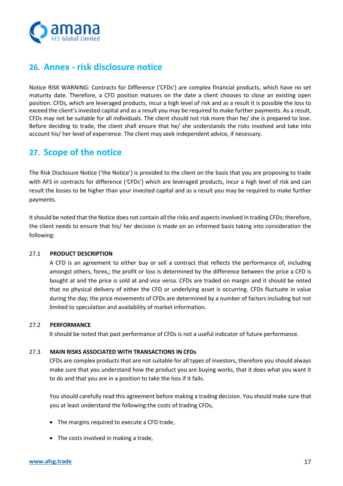

# **26. Annex - risk disclosure notice**

Notice RISK WARNING: Contracts for Difference ('CFDs') are complex financial products, which have no set maturity date. Therefore, a CFD position matures on the date a client chooses to close an existing open position. CFDs, which are leveraged products, incur a high level of risk and as a result it is possible the loss to exceed the client's invested capital and as a result you may be required to make further payments. As a result, CFDs may not be suitable for all individuals. The client should not risk more than he/ she is prepared to lose. Before deciding to trade, the client shall ensure that he/ she understands the risks involved and take into account his/ her level of experience. The client may seek independent advice, if necessary.

### **27. Scope of the notice**

The Risk Disclosure Notice ('the Notice') is provided to the client on the basis that you are proposing to trade with AFS in contracts for difference ('CFDs') which are leveraged products, incur a high level of risk and can result the losses to be higher than your invested capital and as a result you may be required to make further payments.

It should be noted that the Notice does not contain all the risks and aspects involved in trading CFDs; therefore, the client needs to ensure that his/ her decision is made on an informed basis taking into consideration the following:

#### 27.1 **PRODUCT DESCRIPTION**

 A CFD is an agreement to either buy or sell a contract that reflects the performance of, including amongst others, forex,; the profit or loss is determined by the difference between the price a CFD is bought at and the price is sold at and vice versa. CFDs are traded on margin and it should be noted that no physical delivery of either the CFD or underlying asset is occurring. CFDs fluctuate in value during the day; the price movements of CFDs are determined by a number of factors including but not limited to speculation and availability of market information.

#### 27.2 **PERFORMANCE**

It should be noted that past performance of CFDs is not a useful indicator of future performance.

#### 27.3 **MAIN RISKS ASSOCIATED WITH TRANSACTIONS IN CFDs**

CFDs are complex products that are not suitable for all types of investors, therefore you should always make sure that you understand how the product you are buying works, that it does what you want it to do and that you are in a position to take the loss if it fails.

You should carefully read this agreement before making a trading decision. You should make sure that you at least understand the following:the costs of trading CFDs,

- The margins required to execute a CFD trade,
- The costs involved in making a trade,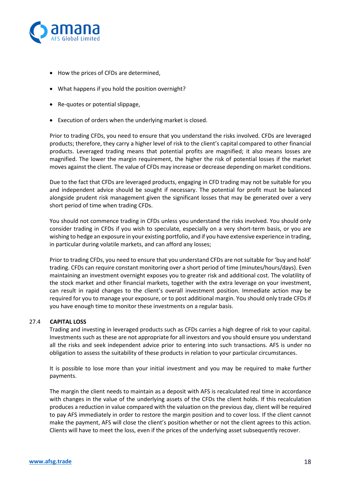

- How the prices of CFDs are determined,
- What happens if you hold the position overnight?
- Re-quotes or potential slippage,
- Execution of orders when the underlying market is closed.

Prior to trading CFDs, you need to ensure that you understand the risks involved. CFDs are leveraged products; therefore, they carry a higher level of risk to the client's capital compared to other financial products. Leveraged trading means that potential profits are magnified; it also means losses are magnified. The lower the margin requirement, the higher the risk of potential losses if the market moves against the client. The value of CFDs may increase or decrease depending on market conditions.

Due to the fact that CFDs are leveraged products, engaging in CFD trading may not be suitable for you and independent advice should be sought if necessary. The potential for profit must be balanced alongside prudent risk management given the significant losses that may be generated over a very short period of time when trading CFDs.

You should not commence trading in CFDs unless you understand the risks involved. You should only consider trading in CFDs if you wish to speculate, especially on a very short-term basis, or you are wishing to hedge an exposure in your existing portfolio, and if you have extensive experience in trading, in particular during volatile markets, and can afford any losses;

Prior to trading CFDs, you need to ensure that you understand CFDs are not suitable for 'buy and hold' trading. CFDs can require constant monitoring over a short period of time (minutes/hours/days). Even maintaining an investment overnight exposes you to greater risk and additional cost. The volatility of the stock market and other financial markets, together with the extra leverage on your investment, can result in rapid changes to the client's overall investment position. Immediate action may be required for you to manage your exposure, or to post additional margin. You should only trade CFDs if you have enough time to monitor these investments on a regular basis.

#### 27.4 **CAPITAL LOSS**

Trading and investing in leveraged products such as CFDs carries a high degree of risk to your capital. Investments such as these are not appropriate for all investors and you should ensure you understand all the risks and seek independent advice prior to entering into such transactions. AFS is under no obligation to assess the suitability of these products in relation to your particular circumstances.

It is possible to lose more than your initial investment and you may be required to make further payments.

The margin the client needs to maintain as a deposit with AFS is recalculated real time in accordance with changes in the value of the underlying assets of the CFDs the client holds. If this recalculation produces a reduction in value compared with the valuation on the previous day, client will be required to pay AFS immediately in order to restore the margin position and to cover loss. If the client cannot make the payment, AFS will close the client's position whether or not the client agrees to this action. Clients will have to meet the loss, even if the prices of the underlying asset subsequently recover.